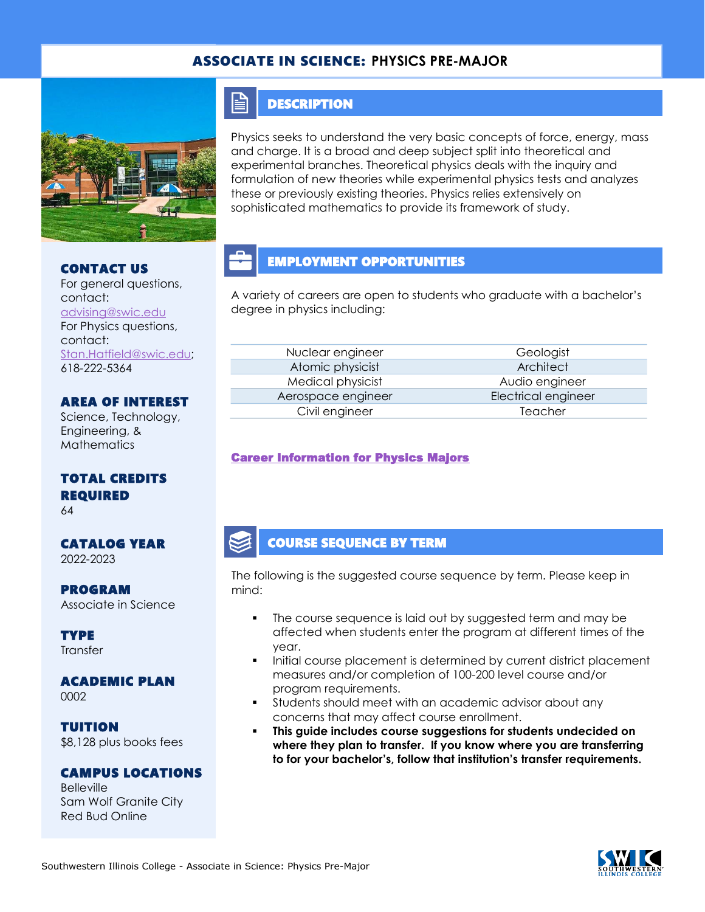## ASSOCIATE IN SCIENCE: **PHYSICS PRE-MAJOR**



#### CONTACT US

For general questions, contact: [advising@swic.edu](mailto:advising@swic.edu) For Physics questions, contact: [Stan.Hatfield@swic.edu;](mailto:Stan.Hatfield@swic.edu) 618-222-5364

### AREA OF INTEREST

Science, Technology, Engineering, & **Mathematics** 

### TOTAL CREDITS REQUIRED

64

CATALOG YEAR 2022-2023

PROGRAM Associate in Science

**TYPE** Transfer

ACADEMIC PLAN 0002

TUITION \$8,128 plus books fees

#### CAMPUS LOCATIONS

Belleville Sam Wolf Granite City Red Bud Online

### **DESCRIPTION**

FI

Physics seeks to understand the very basic concepts of force, energy, mass and charge. It is a broad and deep subject split into theoretical and experimental branches. Theoretical physics deals with the inquiry and formulation of new theories while experimental physics tests and analyzes these or previously existing theories. Physics relies extensively on sophisticated mathematics to provide its framework of study.

# EMPLOYMENT OPPORTUNITIES

A variety of careers are open to students who graduate with a bachelor's degree in physics including:

Nuclear engineer Geologist Atomic physicist **Architect** Medical physicist and all and Audio engineer Aerospace engineer Electrical engineer Civil engineer Teacher

#### [Career Information for Physics Majors](https://www.onetonline.org/find/quick?s=physics)

### COURSE SEQUENCE BY TERM

The following is the suggested course sequence by term. Please keep in mind:

- The course sequence is laid out by suggested term and may be affected when students enter the program at different times of the year.
- Initial course placement is determined by current district placement measures and/or completion of 100-200 level course and/or program requirements.
- Students should meet with an academic advisor about any concerns that may affect course enrollment.
- **This guide includes course suggestions for students undecided on where they plan to transfer. If you know where you are transferring to for your bachelor's, follow that institution's transfer requirements.**